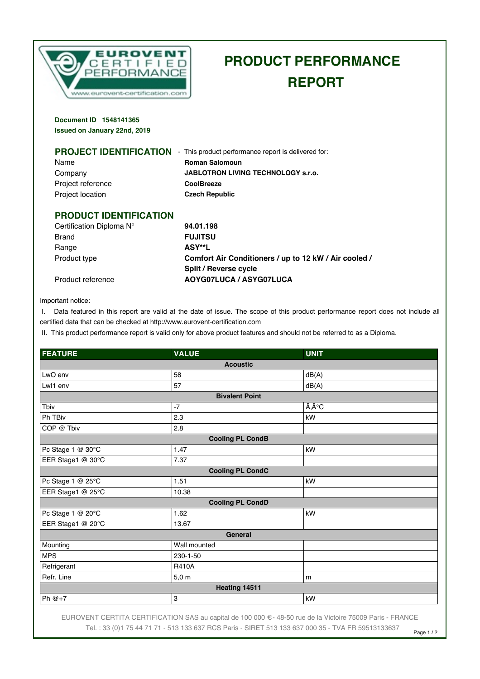

## **PRODUCT PERFORMANCE REPORT**

**Document ID 1548141365 Issued on January 22nd, 2019**

| <b>PROJECT IDENTIFICATION</b> | - This product performance report is delivered for: |
|-------------------------------|-----------------------------------------------------|
| Name                          | <b>Roman Salomoun</b>                               |
| Company                       | <b>JABLOTRON LIVING TECHNOLOGY S.r.o.</b>           |
| Project reference             | <b>CoolBreeze</b>                                   |
| <b>Project location</b>       | <b>Czech Republic</b>                               |
|                               |                                                     |
| <b>PRODUCT IDENTIFICATION</b> |                                                     |
| Certification Diploma N°      | 94.01.198                                           |

| Certification Diploma N° | 94.01.198                                             |
|--------------------------|-------------------------------------------------------|
| Brand                    | <b>FUJITSU</b>                                        |
| Range                    | ASY**L                                                |
| Product type             | Comfort Air Conditioners / up to 12 kW / Air cooled / |
|                          | Split / Reverse cycle                                 |
| Product reference        | AOYG07LUCA / ASYG07LUCA                               |

Important notice:

 I. Data featured in this report are valid at the date of issue. The scope of this product performance report does not include all certified data that can be checked at http://www.eurovent-certification.com

II. This product performance report is valid only for above product features and should not be referred to as a Diploma.

| <b>FEATURE</b>          | <b>VALUE</b>    | <b>UNIT</b>                |  |
|-------------------------|-----------------|----------------------------|--|
| <b>Acoustic</b>         |                 |                            |  |
| LwO env                 | 58              | dB(A)                      |  |
| Lwl1 env                | 57              | dB(A)                      |  |
| <b>Bivalent Point</b>   |                 |                            |  |
| Tbiv                    | $-7$            | $\tilde{A}$ , $\hat{A}$ °C |  |
| Ph TBiv                 | 2.3             | kW                         |  |
| COP @ Tbiv              | 2.8             |                            |  |
| <b>Cooling PL CondB</b> |                 |                            |  |
| Pc Stage 1 @ 30°C       | 1.47            | kW                         |  |
| EER Stage1 @ 30°C       | 7.37            |                            |  |
| <b>Cooling PL CondC</b> |                 |                            |  |
| Pc Stage 1 @ 25°C       | 1.51            | kW                         |  |
| EER Stage1 @ 25°C       | 10.38           |                            |  |
| <b>Cooling PL CondD</b> |                 |                            |  |
| Pc Stage 1 @ 20°C       | 1.62            | kW                         |  |
| EER Stage1 @ 20°C       | 13.67           |                            |  |
| <b>General</b>          |                 |                            |  |
| Mounting                | Wall mounted    |                            |  |
| <b>MPS</b>              | 230-1-50        |                            |  |
| Refrigerant             | <b>R410A</b>    |                            |  |
| Refr. Line              | $5,0 \text{ m}$ | m                          |  |
| Heating 14511           |                 |                            |  |
| Ph $@+7$                | 3               | kW                         |  |

EUROVENT CERTITA CERTIFICATION SAS au capital de 100 000 € - 48-50 rue de la Victoire 75009 Paris - FRANCE Tel. : 33 (0)1 75 44 71 71 - 513 133 637 RCS Paris - SIRET 513 133 637 000 35 - TVA FR 59513133637